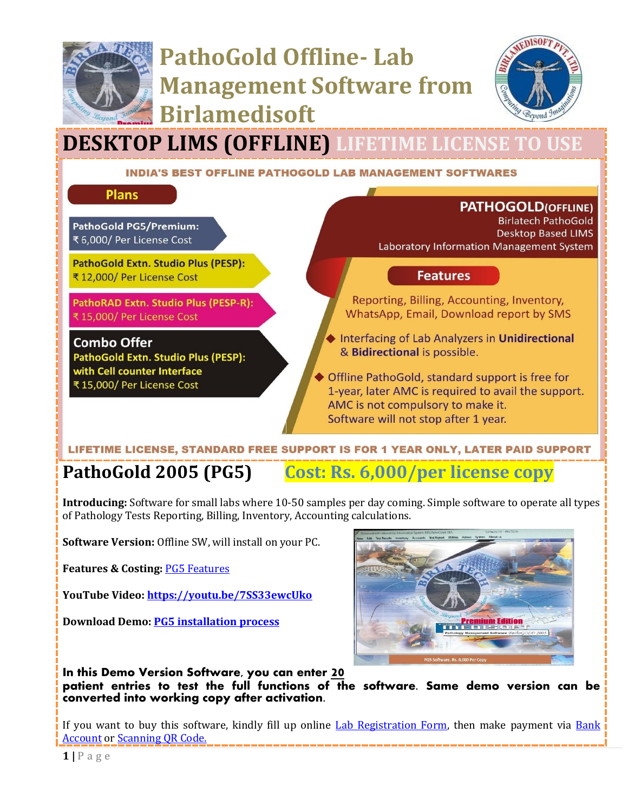

# **PathoGold Offline- Lab Management Software from Birlamedisoft**



# **DESKTOP LIMS (OFFLINE) LIFETIME LICENSE TO USE**

#### **INDIA'S BEST OFFLINE PATHOGOLD LAB MANAGEMENT SOFTWARES**

**Plans** 

**PathoGold PG5/Premium:** ₹ 6,000/ Per License Cost

**PathoGold Extn. Studio Plus (PESP):** ₹ 12,000/ Per License Cost

PathoRAD Extn. Studio Plus (PESP-R): ₹ 15,000/ Per License Cost

**Combo Offer** PathoGold Extn. Studio Plus (PESP): with Cell counter Interface ₹ 15,000/ Per License Cost

**PATHOGOLD(OFFLINE)** 

**Birlatech PathoGold Desktop Based LIMS** Laboratory Information Management System

### **Features**

Reporting, Billing, Accounting, Inventory, WhatsApp, Email, Download report by SMS

Interfacing of Lab Analyzers in Unidirectional & Bidirectional is possible.

Offline PathoGold, standard support is free for 1-year, later AMC is required to avail the support. AMC is not compulsory to make it. Software will not stop after 1 year.

### LIFETIME LICENSE, STANDARD FREE SUPPORT IS FOR 1 YEAR ONLY, LATER PAID SUPPORT

**PathoGold 2005 (PG5) Cost: Rs. 6,000/per license copy**

**Introducing:** Software for small labs where 10-50 samples per day coming. Simple software to operate all types of Pathology Tests Reporting, Billing, Inventory, Accounting calculations.

**Software Version:** Offline SW, will install on your PC.

**Features & Costing:** [PG5 Features](http://www.birlamedisoft.com/downloadnew/PDF/PathoGold%203%20Versions%20comparison%20list_with%20Costing.pdf)

**YouTube Video[: https://youtu.be/7SS33ewcUko](https://youtu.be/7SS33ewcUko)**

**Download Demo: [PG5 installation process](http://www.birlamedisoft.com/downloadnew/PDF/PG5%20installation%20process.pdf)**



**In this Demo Version Software, you can enter 20**

**patient entries to test the full functions of the software. Same demo version can be converted into working copy after activation.** 

If you want to buy this software, kindly fill up online [Lab Registration Form,](https://www.pathogold.com/Home/Index#registerhere) then make payment via [Bank](http://www.birlamedisoft.com/downloadnew/PDF/bank%20details.pdf)  [Account](http://www.birlamedisoft.com/downloadnew/PDF/bank%20details.pdf) o[r Scanning QR Code.](http://www.birlamedisoft.com/downloadnew/Images/Birlamedisoft_QRCODE.jpeg)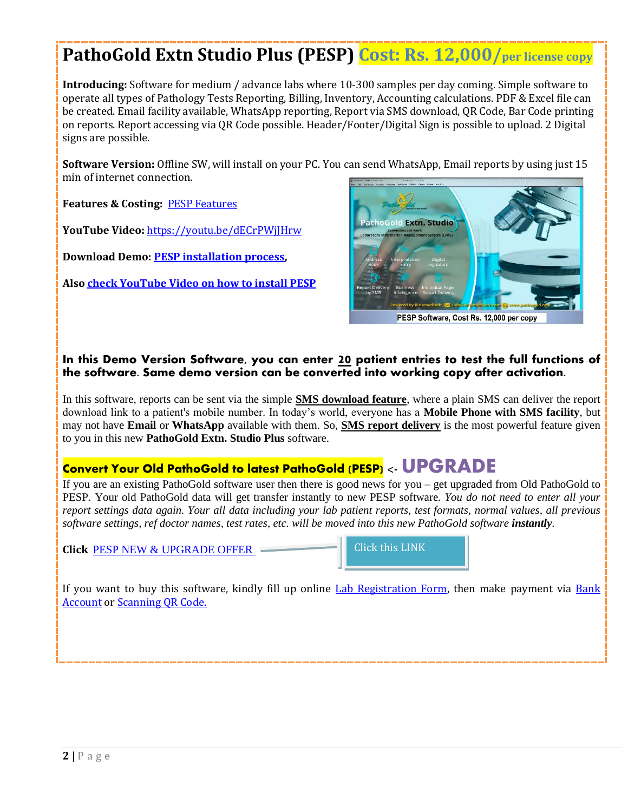# **PathoGold Extn Studio Plus (PESP) Cost: Rs. 12,000/per license copy**

**Introducing:** Software for medium / advance labs where 10-300 samples per day coming. Simple software to operate all types of Pathology Tests Reporting, Billing, Inventory, Accounting calculations. PDF & Excel file can be created. Email facility available, WhatsApp reporting, Report via SMS download, QR Code, Bar Code printing on reports. Report accessing via QR Code possible. Header/Footer/Digital Sign is possible to upload. 2 Digital signs are possible.

**Software Version:** Offline SW, will install on your PC. You can send WhatsApp, Email reports by using just 15 min of internet connection.

**Features & Costing:** [PESP Features](http://www.birlamedisoft.com/downloadnew/PDF/PathoGold%203%20Versions%20comparison%20list_with%20Costing.pdf)

**YouTube Video:** <https://youtu.be/dECrPWjJHrw>

**Download Demo: [PESP installation process,](http://www.birlamedisoft.com/downloadnew/PDF/PESP%20installation%20process.pdf)** 

**Also [check YouTube Video on how to install PESP](https://youtu.be/GIRhy5izFlE)**



PESP Software, Cost Rs. 12,000 per copy

#### **In this Demo Version Software, you can enter 20 patient entries to test the full functions of the software. Same demo version can be converted into working copy after activation.**

In this software, reports can be sent via the simple **SMS download feature**, where a plain SMS can deliver the report download link to a patient's mobile number. In today's world, everyone has a **Mobile Phone with SMS facility**, but may not have **Email** or **WhatsApp** available with them. So, **SMS report delivery** is the most powerful feature given to you in this new **PathoGold Extn. Studio Plus** software.

### **Convert Your Old PathoGold to latest PathoGold (PESP) <- UPGRADE**

If you are an existing PathoGold software user then there is good news for you – get upgraded from Old PathoGold to PESP. Your old PathoGold data will get transfer instantly to new PESP software*. You do not need to enter all your report settings data again. Your all data including your lab patient reports, test formats, normal values, all previous software settings, ref doctor names, test rates, etc. will be moved into this new PathoGold software instantly.* 

**Click** [PESP NEW & UPGRADE OFFER](http://www.birlamedisoft.com/downloadnew/PDF/PESP%20NEW%20&%20UPGRADE%20OFFER.pdf)

Click this LINK

If you want to buy this software, kindly fill up online [Lab Registration Form,](https://www.pathogold.com/Home/Index#registerhere) then make payment via Bank **[Account](http://www.birlamedisoft.com/downloadnew/PDF/bank%20details.pdf) o[r Scanning QR Code.](http://www.birlamedisoft.com/downloadnew/Images/Birlamedisoft_QRCODE.jpeg)**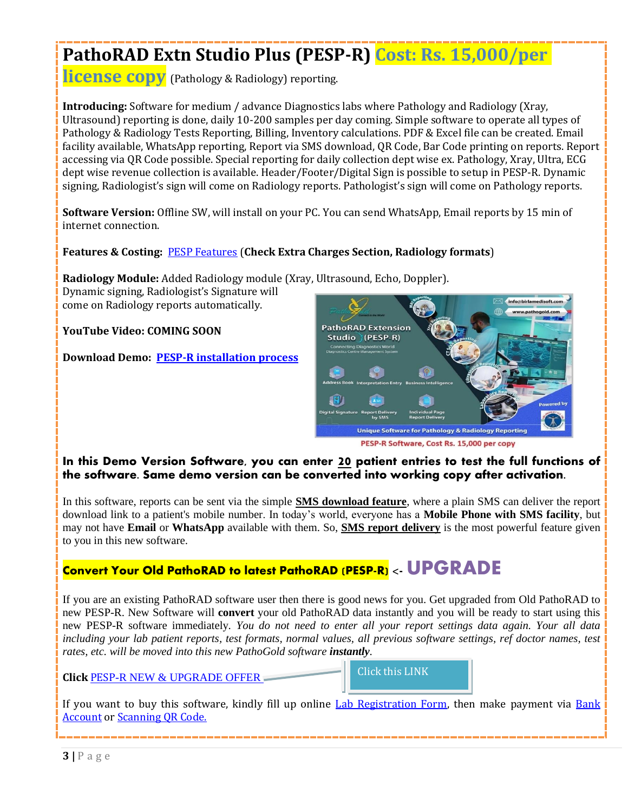# **PathoRAD Extn Studio Plus (PESP-R) Cost: Rs. 15,000/per**

**license copy** (Pathology & Radiology) reporting.

**Introducing:** Software for medium / advance Diagnostics labs where Pathology and Radiology (Xray, Ultrasound) reporting is done, daily 10-200 samples per day coming. Simple software to operate all types of Pathology & Radiology Tests Reporting, Billing, Inventory calculations. PDF & Excel file can be created. Email facility available, WhatsApp reporting, Report via SMS download, QR Code, Bar Code printing on reports. Report accessing via QR Code possible. Special reporting for daily collection dept wise ex. Pathology, Xray, Ultra, ECG dept wise revenue collection is available. Header/Footer/Digital Sign is possible to setup in PESP-R. Dynamic signing, Radiologist's sign will come on Radiology reports. Pathologist's sign will come on Pathology reports.

**Software Version:** Offline SW, will install on your PC. You can send WhatsApp, Email reports by 15 min of internet connection.

**Features & Costing:** [PESP Features](http://www.birlamedisoft.com/downloadnew/PDF/PathoGold%203%20Versions%20comparison%20list_with%20Costing.pdf) (**Check Extra Charges Section, Radiology formats**)

**Radiology Module:** Added Radiology module (Xray, Ultrasound, Echo, Doppler).

Dynamic signing, Radiologist's Signature will come on Radiology reports automatically.

### **YouTube Video: COMING SOON**

**Download Demo: [PESP-R installation process](http://www.birlamedisoft.com/downloadnew/PDF/PESP-R%20installation%20process.pdf)**



PESP-R Software, Cost Rs. 15,000 per copy

### **In this Demo Version Software, you can enter 20 patient entries to test the full functions of the software. Same demo version can be converted into working copy after activation.**

In this software, reports can be sent via the simple **SMS download feature**, where a plain SMS can deliver the report download link to a patient's mobile number. In today's world, everyone has a **Mobile Phone with SMS facility**, but may not have **Email** or **WhatsApp** available with them. So, **SMS report delivery** is the most powerful feature given to you in this new software.

### **Convert Your Old PathoRAD to latest PathoRAD (PESP-R) <- UPGRADE**

If you are an existing PathoRAD software user then there is good news for you. Get upgraded from Old PathoRAD to new PESP-R. New Software will **convert** your old PathoRAD data instantly and you will be ready to start using this new PESP-R software immediately*. You do not need to enter all your report settings data again. Your all data including your lab patient reports, test formats, normal values, all previous software settings, ref doctor names, test rates, etc. will be moved into this new PathoGold software instantly.* 

### **Click** [PESP](http://www.birlamedisoft.com/downloadnew/PDF/PESP-R%20NEW%20&%20UPGRADE%20OFFER.pdf)-R [NEW & UPGRADE OFFER](http://www.birlamedisoft.com/downloadnew/PDF/PESP-R%20NEW%20&%20UPGRADE%20OFFER.pdf)



If you want to buy this software, kindly fill up online [Lab Registration Form,](https://www.pathogold.com/Home/Index#registerhere) then make payment via Bank [Account](http://www.birlamedisoft.com/downloadnew/PDF/bank%20details.pdf) o[r Scanning QR Code.](http://www.birlamedisoft.com/downloadnew/Images/Birlamedisoft_QRCODE.jpeg)